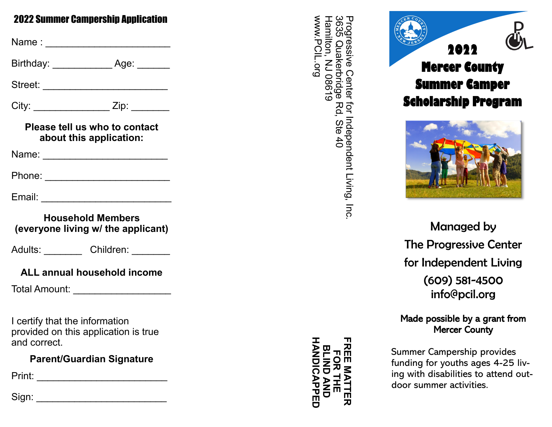## 2022 Summer Campership Application

Name : \_\_\_\_\_\_\_\_\_\_\_\_\_\_\_\_\_\_\_\_\_\_\_ Birthday: \_\_\_\_\_\_\_\_\_\_\_ Age: \_\_\_\_\_\_ Street: \_\_\_\_\_\_\_\_\_\_\_\_\_\_\_\_\_\_\_\_\_\_\_ City: \_\_\_\_\_\_\_\_\_\_\_\_\_\_\_\_\_\_\_ Zip: \_\_\_\_\_\_\_\_ **Please tell us who to contact about this application:** Name: \_\_\_\_\_\_\_\_\_\_\_\_\_\_\_\_\_\_\_\_\_\_\_ Phone: \_\_\_\_\_\_\_\_\_\_\_\_\_\_\_\_\_\_\_\_\_\_\_ Email: \_\_\_\_\_\_\_\_\_\_\_\_\_\_\_\_\_\_\_\_\_\_\_\_ **Household Members (everyone living w/ the applicant)** Adults: Children: **ALL annual household income**

Total Amount: \_\_\_\_\_\_\_\_\_\_\_\_\_\_\_\_\_\_

I certify that the information provided on this application is true and correct.

# **Parent/Guardian Signature**

Print: \_\_\_\_\_\_\_\_\_\_\_\_\_\_\_\_\_\_\_\_\_\_\_\_

Sign: \_\_\_\_\_\_\_\_\_\_\_\_\_\_\_\_\_\_\_\_\_\_\_\_

3635 www.PCIL.org 3635 Quakerbridge Rd, Ste 40 Progressive Center for Independent Living, Inc. www.PCIL.org Hamilton, NJ 08619 Hamilton, NJ 08619 Progressive Quakerbridge Center Rd, Ste 40 for Independent Living, Inc





Managed by The Progressive Center for Independent Living (609) 581 -4500 info@pcil.org

Made possible by a grant from Mercer County

Summer Campership provides funding for youths ages 4 -25 living with disabilities to attend outdoor summer activities.

**HANDICAPPED FREE MATTER BLIND AND<br>HANDICAPPED** 요 **BLIND AND FOR THE** OR<br>
HE m MATTE 刀